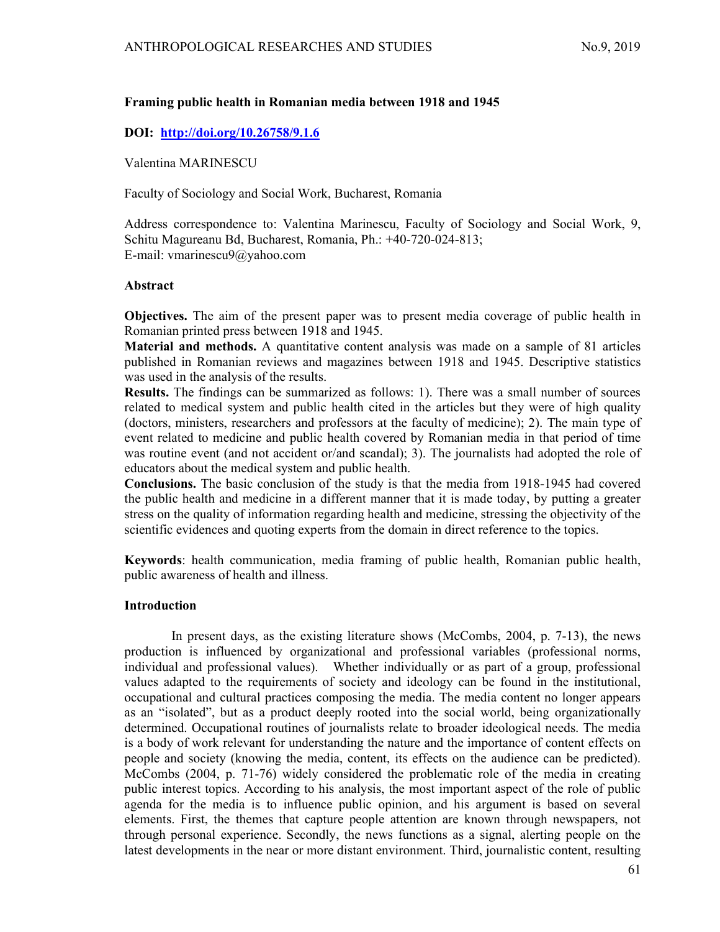# Framing public health in Romanian media between 1918 and 1945

## DOI: http://doi.org/10.26758/9.1.6

Valentina MARINESCU

Faculty of Sociology and Social Work, Bucharest, Romania

Address correspondence to: Valentina Marinescu, Faculty of Sociology and Social Work, 9, Schitu Magureanu Bd, Bucharest, Romania, Ph.: +40-720-024-813; E-mail: vmarinescu9@yahoo.com

#### Abstract

Objectives. The aim of the present paper was to present media coverage of public health in Romanian printed press between 1918 and 1945.

Material and methods. A quantitative content analysis was made on a sample of 81 articles published in Romanian reviews and magazines between 1918 and 1945. Descriptive statistics was used in the analysis of the results.

Results. The findings can be summarized as follows: 1). There was a small number of sources related to medical system and public health cited in the articles but they were of high quality (doctors, ministers, researchers and professors at the faculty of medicine); 2). The main type of event related to medicine and public health covered by Romanian media in that period of time was routine event (and not accident or/and scandal); 3). The journalists had adopted the role of educators about the medical system and public health.

Conclusions. The basic conclusion of the study is that the media from 1918-1945 had covered the public health and medicine in a different manner that it is made today, by putting a greater stress on the quality of information regarding health and medicine, stressing the objectivity of the scientific evidences and quoting experts from the domain in direct reference to the topics.

Keywords: health communication, media framing of public health, Romanian public health, public awareness of health and illness.

### Introduction

In present days, as the existing literature shows (McCombs, 2004, p. 7-13), the news production is influenced by organizational and professional variables (professional norms, individual and professional values). Whether individually or as part of a group, professional values adapted to the requirements of society and ideology can be found in the institutional, occupational and cultural practices composing the media. The media content no longer appears as an "isolated", but as a product deeply rooted into the social world, being organizationally determined. Occupational routines of journalists relate to broader ideological needs. The media is a body of work relevant for understanding the nature and the importance of content effects on people and society (knowing the media, content, its effects on the audience can be predicted). McCombs (2004, p. 71-76) widely considered the problematic role of the media in creating public interest topics. According to his analysis, the most important aspect of the role of public agenda for the media is to influence public opinion, and his argument is based on several elements. First, the themes that capture people attention are known through newspapers, not through personal experience. Secondly, the news functions as a signal, alerting people on the latest developments in the near or more distant environment. Third, journalistic content, resulting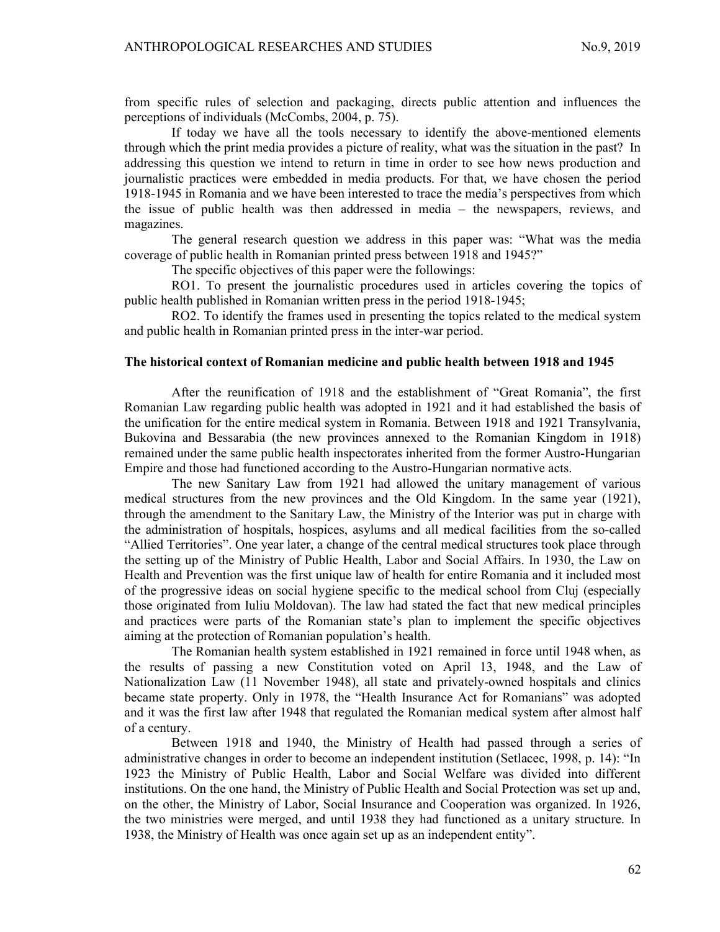from specific rules of selection and packaging, directs public attention and influences the perceptions of individuals (McCombs, 2004, p. 75).

If today we have all the tools necessary to identify the above-mentioned elements through which the print media provides a picture of reality, what was the situation in the past? In addressing this question we intend to return in time in order to see how news production and journalistic practices were embedded in media products. For that, we have chosen the period 1918-1945 in Romania and we have been interested to trace the media's perspectives from which the issue of public health was then addressed in media – the newspapers, reviews, and magazines.

The general research question we address in this paper was: "What was the media coverage of public health in Romanian printed press between 1918 and 1945?"

The specific objectives of this paper were the followings:

RO1. To present the journalistic procedures used in articles covering the topics of public health published in Romanian written press in the period 1918-1945;

RO2. To identify the frames used in presenting the topics related to the medical system and public health in Romanian printed press in the inter-war period.

# The historical context of Romanian medicine and public health between 1918 and 1945

After the reunification of 1918 and the establishment of "Great Romania", the first Romanian Law regarding public health was adopted in 1921 and it had established the basis of the unification for the entire medical system in Romania. Between 1918 and 1921 Transylvania, Bukovina and Bessarabia (the new provinces annexed to the Romanian Kingdom in 1918) remained under the same public health inspectorates inherited from the former Austro-Hungarian Empire and those had functioned according to the Austro-Hungarian normative acts.

The new Sanitary Law from 1921 had allowed the unitary management of various medical structures from the new provinces and the Old Kingdom. In the same year (1921), through the amendment to the Sanitary Law, the Ministry of the Interior was put in charge with the administration of hospitals, hospices, asylums and all medical facilities from the so-called "Allied Territories". One year later, a change of the central medical structures took place through the setting up of the Ministry of Public Health, Labor and Social Affairs. In 1930, the Law on Health and Prevention was the first unique law of health for entire Romania and it included most of the progressive ideas on social hygiene specific to the medical school from Cluj (especially those originated from Iuliu Moldovan). The law had stated the fact that new medical principles and practices were parts of the Romanian state's plan to implement the specific objectives aiming at the protection of Romanian population's health.

The Romanian health system established in 1921 remained in force until 1948 when, as the results of passing a new Constitution voted on April 13, 1948, and the Law of Nationalization Law (11 November 1948), all state and privately-owned hospitals and clinics became state property. Only in 1978, the "Health Insurance Act for Romanians" was adopted and it was the first law after 1948 that regulated the Romanian medical system after almost half of a century.

Between 1918 and 1940, the Ministry of Health had passed through a series of administrative changes in order to become an independent institution (Setlacec, 1998, p. 14): "In 1923 the Ministry of Public Health, Labor and Social Welfare was divided into different institutions. On the one hand, the Ministry of Public Health and Social Protection was set up and, on the other, the Ministry of Labor, Social Insurance and Cooperation was organized. In 1926, the two ministries were merged, and until 1938 they had functioned as a unitary structure. In 1938, the Ministry of Health was once again set up as an independent entity".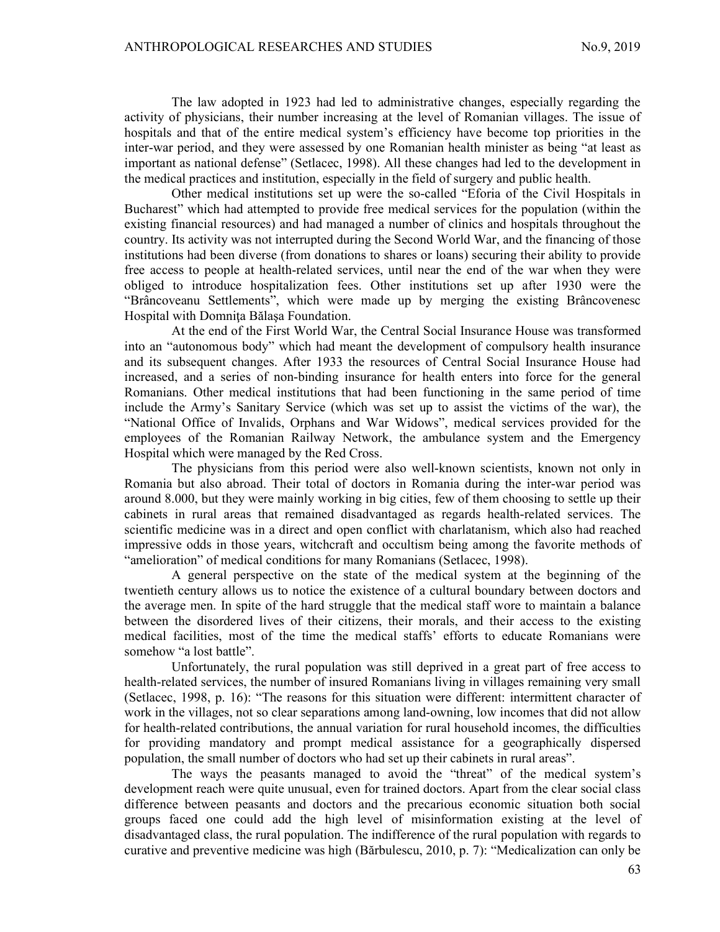The law adopted in 1923 had led to administrative changes, especially regarding the activity of physicians, their number increasing at the level of Romanian villages. The issue of hospitals and that of the entire medical system's efficiency have become top priorities in the inter-war period, and they were assessed by one Romanian health minister as being "at least as important as national defense" (Setlacec, 1998). All these changes had led to the development in the medical practices and institution, especially in the field of surgery and public health.

Other medical institutions set up were the so-called "Eforia of the Civil Hospitals in Bucharest" which had attempted to provide free medical services for the population (within the existing financial resources) and had managed a number of clinics and hospitals throughout the country. Its activity was not interrupted during the Second World War, and the financing of those institutions had been diverse (from donations to shares or loans) securing their ability to provide free access to people at health-related services, until near the end of the war when they were obliged to introduce hospitalization fees. Other institutions set up after 1930 were the "Brâncoveanu Settlements", which were made up by merging the existing Brâncovenesc Hospital with Domniţa Bălaşa Foundation.

At the end of the First World War, the Central Social Insurance House was transformed into an "autonomous body" which had meant the development of compulsory health insurance and its subsequent changes. After 1933 the resources of Central Social Insurance House had increased, and a series of non-binding insurance for health enters into force for the general Romanians. Other medical institutions that had been functioning in the same period of time include the Army's Sanitary Service (which was set up to assist the victims of the war), the "National Office of Invalids, Orphans and War Widows", medical services provided for the employees of the Romanian Railway Network, the ambulance system and the Emergency Hospital which were managed by the Red Cross.

The physicians from this period were also well-known scientists, known not only in Romania but also abroad. Their total of doctors in Romania during the inter-war period was around 8.000, but they were mainly working in big cities, few of them choosing to settle up their cabinets in rural areas that remained disadvantaged as regards health-related services. The scientific medicine was in a direct and open conflict with charlatanism, which also had reached impressive odds in those years, witchcraft and occultism being among the favorite methods of "amelioration" of medical conditions for many Romanians (Setlacec, 1998).

A general perspective on the state of the medical system at the beginning of the twentieth century allows us to notice the existence of a cultural boundary between doctors and the average men. In spite of the hard struggle that the medical staff wore to maintain a balance between the disordered lives of their citizens, their morals, and their access to the existing medical facilities, most of the time the medical staffs' efforts to educate Romanians were somehow "a lost battle".

Unfortunately, the rural population was still deprived in a great part of free access to health-related services, the number of insured Romanians living in villages remaining very small (Setlacec, 1998, p. 16): "The reasons for this situation were different: intermittent character of work in the villages, not so clear separations among land-owning, low incomes that did not allow for health-related contributions, the annual variation for rural household incomes, the difficulties for providing mandatory and prompt medical assistance for a geographically dispersed population, the small number of doctors who had set up their cabinets in rural areas".

The ways the peasants managed to avoid the "threat" of the medical system's development reach were quite unusual, even for trained doctors. Apart from the clear social class difference between peasants and doctors and the precarious economic situation both social groups faced one could add the high level of misinformation existing at the level of disadvantaged class, the rural population. The indifference of the rural population with regards to curative and preventive medicine was high (Bărbulescu, 2010, p. 7): "Medicalization can only be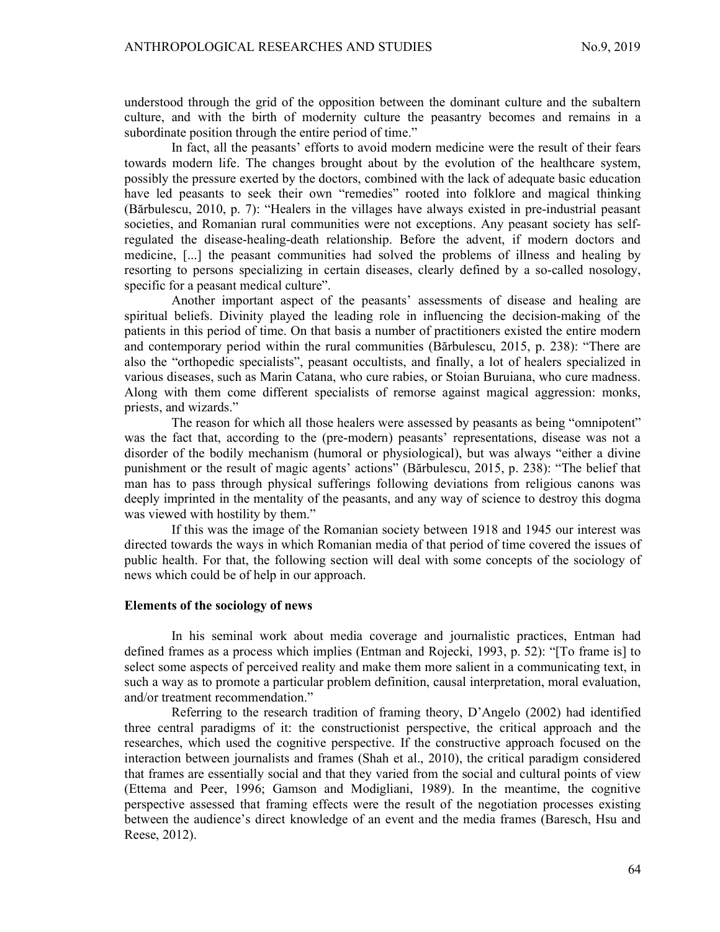understood through the grid of the opposition between the dominant culture and the subaltern culture, and with the birth of modernity culture the peasantry becomes and remains in a subordinate position through the entire period of time."

In fact, all the peasants' efforts to avoid modern medicine were the result of their fears towards modern life. The changes brought about by the evolution of the healthcare system, possibly the pressure exerted by the doctors, combined with the lack of adequate basic education have led peasants to seek their own "remedies" rooted into folklore and magical thinking (Bărbulescu, 2010, p. 7): "Healers in the villages have always existed in pre-industrial peasant societies, and Romanian rural communities were not exceptions. Any peasant society has selfregulated the disease-healing-death relationship. Before the advent, if modern doctors and medicine, [...] the peasant communities had solved the problems of illness and healing by resorting to persons specializing in certain diseases, clearly defined by a so-called nosology, specific for a peasant medical culture".

Another important aspect of the peasants' assessments of disease and healing are spiritual beliefs. Divinity played the leading role in influencing the decision-making of the patients in this period of time. On that basis a number of practitioners existed the entire modern and contemporary period within the rural communities (Bărbulescu, 2015, p. 238): "There are also the "orthopedic specialists", peasant occultists, and finally, a lot of healers specialized in various diseases, such as Marin Catana, who cure rabies, or Stoian Buruiana, who cure madness. Along with them come different specialists of remorse against magical aggression: monks, priests, and wizards."

The reason for which all those healers were assessed by peasants as being "omnipotent" was the fact that, according to the (pre-modern) peasants' representations, disease was not a disorder of the bodily mechanism (humoral or physiological), but was always "either a divine punishment or the result of magic agents' actions" (Bărbulescu, 2015, p. 238): "The belief that man has to pass through physical sufferings following deviations from religious canons was deeply imprinted in the mentality of the peasants, and any way of science to destroy this dogma was viewed with hostility by them."

If this was the image of the Romanian society between 1918 and 1945 our interest was directed towards the ways in which Romanian media of that period of time covered the issues of public health. For that, the following section will deal with some concepts of the sociology of news which could be of help in our approach.

#### Elements of the sociology of news

In his seminal work about media coverage and journalistic practices, Entman had defined frames as a process which implies (Entman and Rojecki, 1993, p. 52): "[To frame is] to select some aspects of perceived reality and make them more salient in a communicating text, in such a way as to promote a particular problem definition, causal interpretation, moral evaluation, and/or treatment recommendation."

Referring to the research tradition of framing theory, D'Angelo (2002) had identified three central paradigms of it: the constructionist perspective, the critical approach and the researches, which used the cognitive perspective. If the constructive approach focused on the interaction between journalists and frames (Shah et al., 2010), the critical paradigm considered that frames are essentially social and that they varied from the social and cultural points of view (Ettema and Peer, 1996; Gamson and Modigliani, 1989). In the meantime, the cognitive perspective assessed that framing effects were the result of the negotiation processes existing between the audience's direct knowledge of an event and the media frames (Baresch, Hsu and Reese, 2012).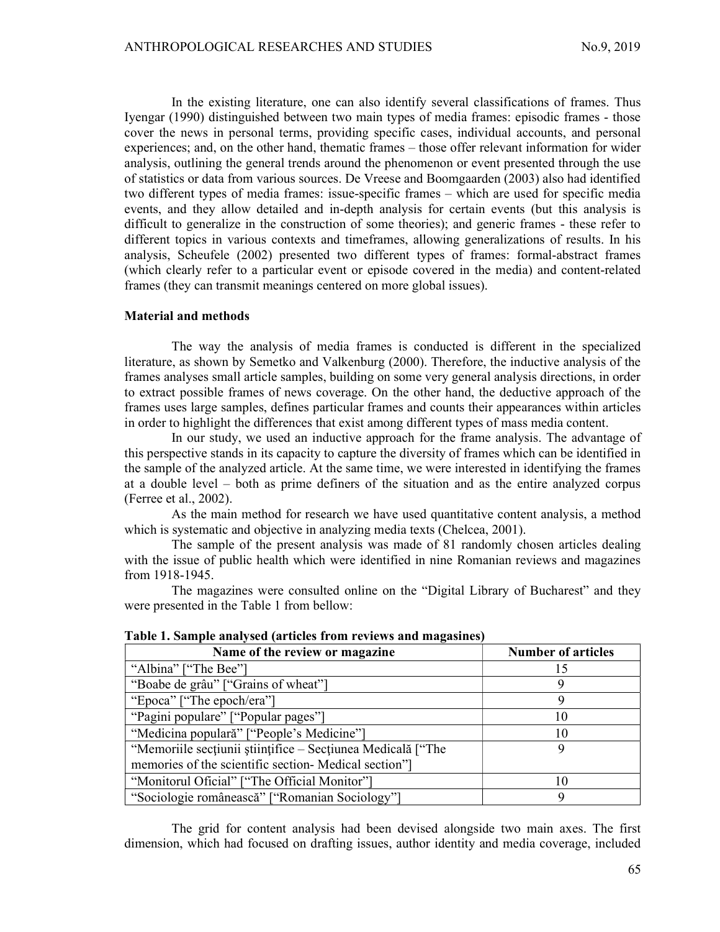In the existing literature, one can also identify several classifications of frames. Thus Iyengar (1990) distinguished between two main types of media frames: episodic frames - those cover the news in personal terms, providing specific cases, individual accounts, and personal experiences; and, on the other hand, thematic frames – those offer relevant information for wider analysis, outlining the general trends around the phenomenon or event presented through the use of statistics or data from various sources. De Vreese and Boomgaarden (2003) also had identified two different types of media frames: issue-specific frames – which are used for specific media events, and they allow detailed and in-depth analysis for certain events (but this analysis is difficult to generalize in the construction of some theories); and generic frames - these refer to different topics in various contexts and timeframes, allowing generalizations of results. In his analysis, Scheufele (2002) presented two different types of frames: formal-abstract frames (which clearly refer to a particular event or episode covered in the media) and content-related frames (they can transmit meanings centered on more global issues).

#### Material and methods

The way the analysis of media frames is conducted is different in the specialized literature, as shown by Semetko and Valkenburg (2000). Therefore, the inductive analysis of the frames analyses small article samples, building on some very general analysis directions, in order to extract possible frames of news coverage. On the other hand, the deductive approach of the frames uses large samples, defines particular frames and counts their appearances within articles in order to highlight the differences that exist among different types of mass media content.

In our study, we used an inductive approach for the frame analysis. The advantage of this perspective stands in its capacity to capture the diversity of frames which can be identified in the sample of the analyzed article. At the same time, we were interested in identifying the frames at a double level – both as prime definers of the situation and as the entire analyzed corpus (Ferree et al., 2002).

As the main method for research we have used quantitative content analysis, a method which is systematic and objective in analyzing media texts (Chelcea, 2001).

The sample of the present analysis was made of 81 randomly chosen articles dealing with the issue of public health which were identified in nine Romanian reviews and magazines from 1918-1945.

The magazines were consulted online on the "Digital Library of Bucharest" and they were presented in the Table 1 from bellow:

| Table 1. Sample analysed (al ticles from Teviews and magasines) |                           |
|-----------------------------------------------------------------|---------------------------|
| Name of the review or magazine                                  | <b>Number of articles</b> |
| "Albina" ["The Bee"]                                            |                           |
| "Boabe de grâu" ["Grains of wheat"]                             |                           |
| "Epoca" ["The epoch/era"]                                       |                           |
| "Pagini populare" ["Popular pages"]                             | 10                        |
| "Medicina populară" ["People's Medicine"]                       | 10                        |
| "Memoriile secțiunii științifice – Secțiunea Medicală ["The     |                           |
| memories of the scientific section-Medical section"             |                           |
| "Monitorul Oficial" ["The Official Monitor"]                    |                           |
| "Sociologie românească" ["Romanian Sociology"]                  |                           |

|  |  |  | Table 1. Sample analysed (articles from reviews and magasines) |
|--|--|--|----------------------------------------------------------------|
|  |  |  |                                                                |

The grid for content analysis had been devised alongside two main axes. The first dimension, which had focused on drafting issues, author identity and media coverage, included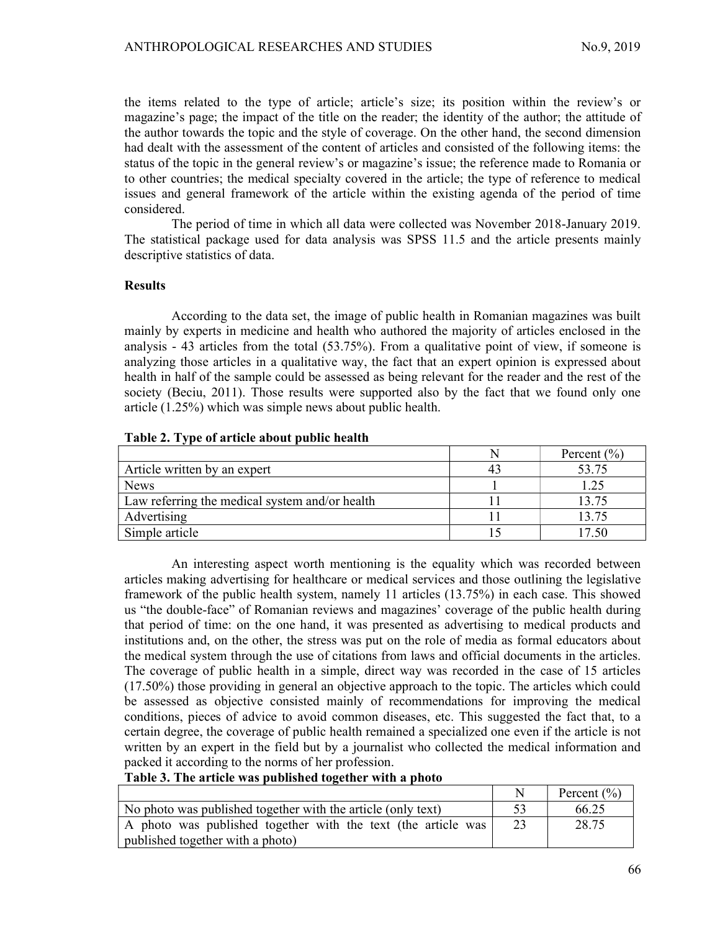the items related to the type of article; article's size; its position within the review's or magazine's page; the impact of the title on the reader; the identity of the author; the attitude of the author towards the topic and the style of coverage. On the other hand, the second dimension had dealt with the assessment of the content of articles and consisted of the following items: the status of the topic in the general review's or magazine's issue; the reference made to Romania or to other countries; the medical specialty covered in the article; the type of reference to medical issues and general framework of the article within the existing agenda of the period of time considered.

The period of time in which all data were collected was November 2018-January 2019. The statistical package used for data analysis was SPSS 11.5 and the article presents mainly descriptive statistics of data.

## Results

According to the data set, the image of public health in Romanian magazines was built mainly by experts in medicine and health who authored the majority of articles enclosed in the analysis - 43 articles from the total (53.75%). From a qualitative point of view, if someone is analyzing those articles in a qualitative way, the fact that an expert opinion is expressed about health in half of the sample could be assessed as being relevant for the reader and the rest of the society (Beciu, 2011). Those results were supported also by the fact that we found only one article (1.25%) which was simple news about public health.

|                                                | Percent $(\% )$ |
|------------------------------------------------|-----------------|
| Article written by an expert                   | 53.75           |
| <b>News</b>                                    | 1.25            |
| Law referring the medical system and/or health | 13.75           |
| Advertising                                    | 13.75           |
| Simple article                                 | 7.50            |

#### Table 2. Type of article about public health

An interesting aspect worth mentioning is the equality which was recorded between articles making advertising for healthcare or medical services and those outlining the legislative framework of the public health system, namely 11 articles (13.75%) in each case. This showed us "the double-face" of Romanian reviews and magazines' coverage of the public health during that period of time: on the one hand, it was presented as advertising to medical products and institutions and, on the other, the stress was put on the role of media as formal educators about the medical system through the use of citations from laws and official documents in the articles. The coverage of public health in a simple, direct way was recorded in the case of 15 articles (17.50%) those providing in general an objective approach to the topic. The articles which could be assessed as objective consisted mainly of recommendations for improving the medical conditions, pieces of advice to avoid common diseases, etc. This suggested the fact that, to a certain degree, the coverage of public health remained a specialized one even if the article is not written by an expert in the field but by a journalist who collected the medical information and packed it according to the norms of her profession.

Table 3. The article was published together with a photo

|                                                               | Percent $(\% )$ |
|---------------------------------------------------------------|-----------------|
| No photo was published together with the article (only text)  | 66.25           |
| A photo was published together with the text (the article was | 28.75           |
| published together with a photo)                              |                 |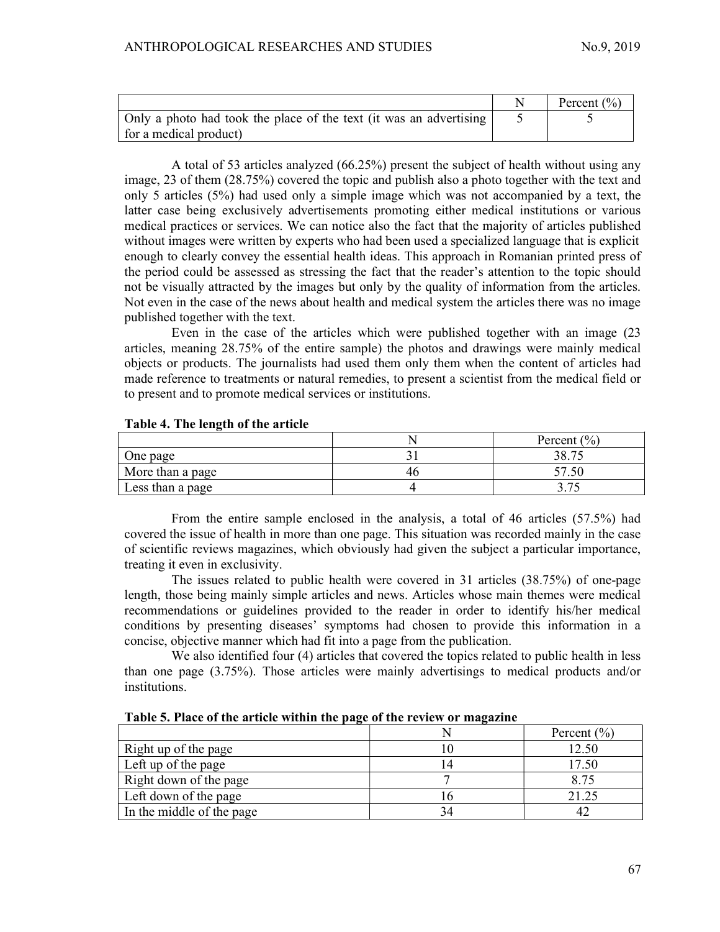|                                                                    | Percent $(\% )$ |
|--------------------------------------------------------------------|-----------------|
| Only a photo had took the place of the text (it was an advertising |                 |
| for a medical product)                                             |                 |

A total of 53 articles analyzed (66.25%) present the subject of health without using any image, 23 of them (28.75%) covered the topic and publish also a photo together with the text and only 5 articles (5%) had used only a simple image which was not accompanied by a text, the latter case being exclusively advertisements promoting either medical institutions or various medical practices or services. We can notice also the fact that the majority of articles published without images were written by experts who had been used a specialized language that is explicit enough to clearly convey the essential health ideas. This approach in Romanian printed press of the period could be assessed as stressing the fact that the reader's attention to the topic should not be visually attracted by the images but only by the quality of information from the articles. Not even in the case of the news about health and medical system the articles there was no image published together with the text.

Even in the case of the articles which were published together with an image (23 articles, meaning 28.75% of the entire sample) the photos and drawings were mainly medical objects or products. The journalists had used them only them when the content of articles had made reference to treatments or natural remedies, to present a scientist from the medical field or to present and to promote medical services or institutions.

# Table 4. The length of the article

|                  | Percent $(\% )$ |
|------------------|-----------------|
| One page         | 2075<br>, 00    |
| More than a page |                 |
| Less than a page | --              |

From the entire sample enclosed in the analysis, a total of 46 articles (57.5%) had covered the issue of health in more than one page. This situation was recorded mainly in the case of scientific reviews magazines, which obviously had given the subject a particular importance, treating it even in exclusivity.

The issues related to public health were covered in 31 articles (38.75%) of one-page length, those being mainly simple articles and news. Articles whose main themes were medical recommendations or guidelines provided to the reader in order to identify his/her medical conditions by presenting diseases' symptoms had chosen to provide this information in a concise, objective manner which had fit into a page from the publication.

We also identified four (4) articles that covered the topics related to public health in less than one page (3.75%). Those articles were mainly advertisings to medical products and/or institutions.

|  |  |  |  |  | Table 5. Place of the article within the page of the review or magazine |
|--|--|--|--|--|-------------------------------------------------------------------------|
|  |  |  |  |  |                                                                         |

|                           | Percent $(\% )$ |
|---------------------------|-----------------|
| Right up of the page      | 12.50           |
| Left up of the page       | l 7.50          |
| Right down of the page    | 8.75            |
| Left down of the page     | 21.25           |
| In the middle of the page |                 |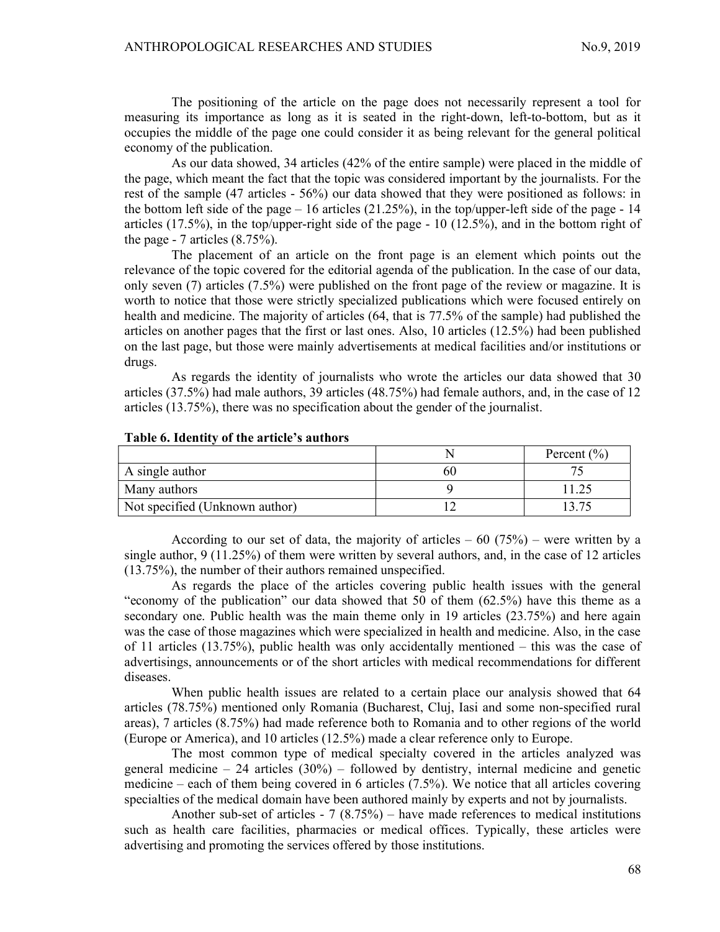The positioning of the article on the page does not necessarily represent a tool for measuring its importance as long as it is seated in the right-down, left-to-bottom, but as it occupies the middle of the page one could consider it as being relevant for the general political economy of the publication.

As our data showed, 34 articles (42% of the entire sample) were placed in the middle of the page, which meant the fact that the topic was considered important by the journalists. For the rest of the sample (47 articles - 56%) our data showed that they were positioned as follows: in the bottom left side of the page  $-16$  articles (21.25%), in the top/upper-left side of the page - 14 articles  $(17.5\%)$ , in the top/upper-right side of the page - 10  $(12.5\%)$ , and in the bottom right of the page - 7 articles (8.75%).

The placement of an article on the front page is an element which points out the relevance of the topic covered for the editorial agenda of the publication. In the case of our data, only seven (7) articles (7.5%) were published on the front page of the review or magazine. It is worth to notice that those were strictly specialized publications which were focused entirely on health and medicine. The majority of articles (64, that is 77.5% of the sample) had published the articles on another pages that the first or last ones. Also, 10 articles (12.5%) had been published on the last page, but those were mainly advertisements at medical facilities and/or institutions or drugs.

As regards the identity of journalists who wrote the articles our data showed that 30 articles (37.5%) had male authors, 39 articles (48.75%) had female authors, and, in the case of 12 articles (13.75%), there was no specification about the gender of the journalist.

|                                | Percent $(\% )$ |
|--------------------------------|-----------------|
| A single author                |                 |
| Many authors                   |                 |
| Not specified (Unknown author) |                 |

#### Table 6. Identity of the article's authors

According to our set of data, the majority of articles  $-60$  (75%) – were written by a single author, 9 (11.25%) of them were written by several authors, and, in the case of 12 articles (13.75%), the number of their authors remained unspecified.

As regards the place of the articles covering public health issues with the general "economy of the publication" our data showed that 50 of them (62.5%) have this theme as a secondary one. Public health was the main theme only in 19 articles (23.75%) and here again was the case of those magazines which were specialized in health and medicine. Also, in the case of 11 articles (13.75%), public health was only accidentally mentioned – this was the case of advertisings, announcements or of the short articles with medical recommendations for different diseases.

When public health issues are related to a certain place our analysis showed that 64 articles (78.75%) mentioned only Romania (Bucharest, Cluj, Iasi and some non-specified rural areas), 7 articles (8.75%) had made reference both to Romania and to other regions of the world (Europe or America), and 10 articles (12.5%) made a clear reference only to Europe.

The most common type of medical specialty covered in the articles analyzed was general medicine – 24 articles  $(30\%)$  – followed by dentistry, internal medicine and genetic medicine – each of them being covered in 6 articles (7.5%). We notice that all articles covering specialties of the medical domain have been authored mainly by experts and not by journalists.

Another sub-set of articles -  $7 (8.75%)$  – have made references to medical institutions such as health care facilities, pharmacies or medical offices. Typically, these articles were advertising and promoting the services offered by those institutions.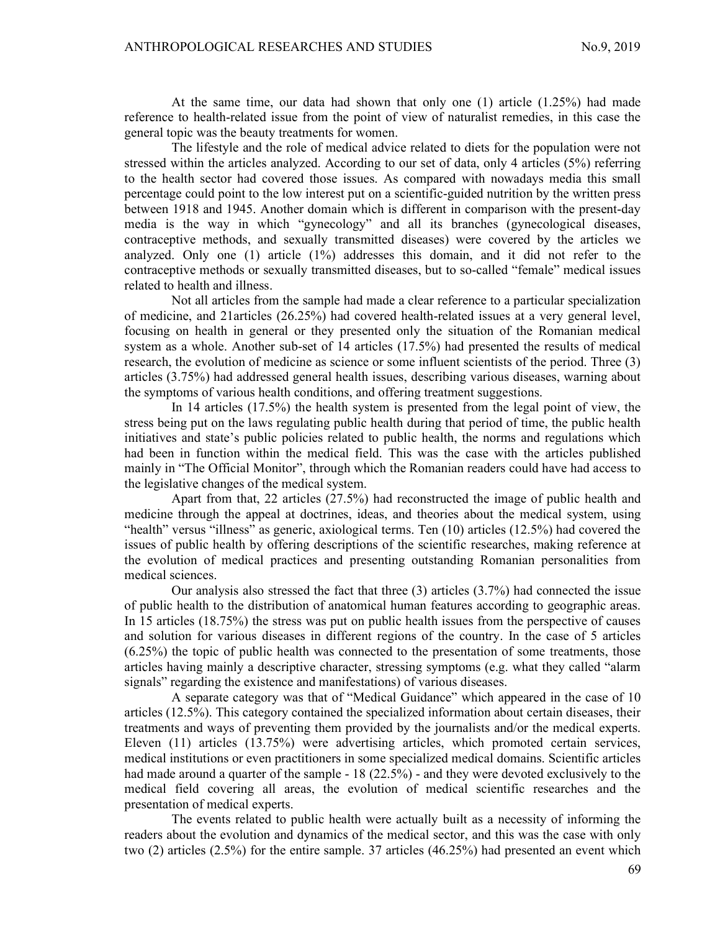At the same time, our data had shown that only one (1) article (1.25%) had made reference to health-related issue from the point of view of naturalist remedies, in this case the general topic was the beauty treatments for women.

The lifestyle and the role of medical advice related to diets for the population were not stressed within the articles analyzed. According to our set of data, only 4 articles (5%) referring to the health sector had covered those issues. As compared with nowadays media this small percentage could point to the low interest put on a scientific-guided nutrition by the written press between 1918 and 1945. Another domain which is different in comparison with the present-day media is the way in which "gynecology" and all its branches (gynecological diseases, contraceptive methods, and sexually transmitted diseases) were covered by the articles we analyzed. Only one (1) article (1%) addresses this domain, and it did not refer to the contraceptive methods or sexually transmitted diseases, but to so-called "female" medical issues related to health and illness.

Not all articles from the sample had made a clear reference to a particular specialization of medicine, and 21articles (26.25%) had covered health-related issues at a very general level, focusing on health in general or they presented only the situation of the Romanian medical system as a whole. Another sub-set of 14 articles (17.5%) had presented the results of medical research, the evolution of medicine as science or some influent scientists of the period. Three (3) articles (3.75%) had addressed general health issues, describing various diseases, warning about the symptoms of various health conditions, and offering treatment suggestions.

In 14 articles (17.5%) the health system is presented from the legal point of view, the stress being put on the laws regulating public health during that period of time, the public health initiatives and state's public policies related to public health, the norms and regulations which had been in function within the medical field. This was the case with the articles published mainly in "The Official Monitor", through which the Romanian readers could have had access to the legislative changes of the medical system.

Apart from that, 22 articles (27.5%) had reconstructed the image of public health and medicine through the appeal at doctrines, ideas, and theories about the medical system, using "health" versus "illness" as generic, axiological terms. Ten (10) articles (12.5%) had covered the issues of public health by offering descriptions of the scientific researches, making reference at the evolution of medical practices and presenting outstanding Romanian personalities from medical sciences.

Our analysis also stressed the fact that three (3) articles (3.7%) had connected the issue of public health to the distribution of anatomical human features according to geographic areas. In 15 articles (18.75%) the stress was put on public health issues from the perspective of causes and solution for various diseases in different regions of the country. In the case of 5 articles (6.25%) the topic of public health was connected to the presentation of some treatments, those articles having mainly a descriptive character, stressing symptoms (e.g. what they called "alarm signals" regarding the existence and manifestations) of various diseases.

A separate category was that of "Medical Guidance" which appeared in the case of 10 articles (12.5%). This category contained the specialized information about certain diseases, their treatments and ways of preventing them provided by the journalists and/or the medical experts. Eleven (11) articles (13.75%) were advertising articles, which promoted certain services, medical institutions or even practitioners in some specialized medical domains. Scientific articles had made around a quarter of the sample - 18 (22.5%) - and they were devoted exclusively to the medical field covering all areas, the evolution of medical scientific researches and the presentation of medical experts.

The events related to public health were actually built as a necessity of informing the readers about the evolution and dynamics of the medical sector, and this was the case with only two (2) articles (2.5%) for the entire sample. 37 articles (46.25%) had presented an event which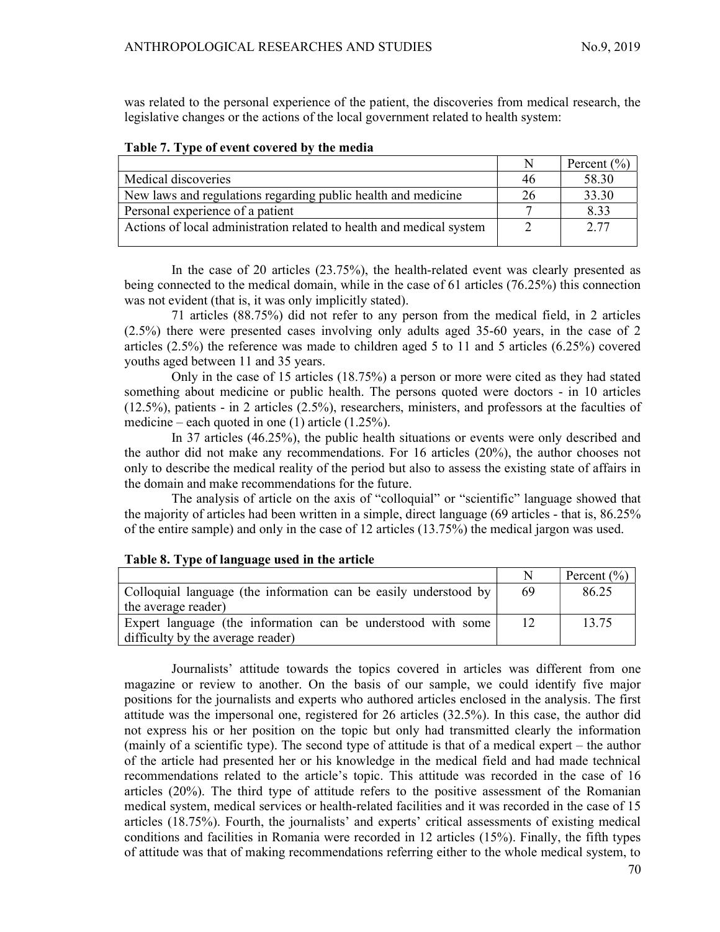was related to the personal experience of the patient, the discoveries from medical research, the legislative changes or the actions of the local government related to health system:

| Table 7. Type of event covered by the incura                         |    |                 |
|----------------------------------------------------------------------|----|-----------------|
|                                                                      | N  | Percent $(\% )$ |
| Medical discoveries                                                  | 46 | 58.30           |
| New laws and regulations regarding public health and medicine        | 26 | 33.30           |
| Personal experience of a patient                                     |    | 8.33            |
| Actions of local administration related to health and medical system |    | 2.77            |
|                                                                      |    |                 |

Table 7. Type of event covered by the media

In the case of 20 articles (23.75%), the health-related event was clearly presented as being connected to the medical domain, while in the case of 61 articles (76.25%) this connection was not evident (that is, it was only implicitly stated).

71 articles (88.75%) did not refer to any person from the medical field, in 2 articles (2.5%) there were presented cases involving only adults aged 35-60 years, in the case of 2 articles (2.5%) the reference was made to children aged 5 to 11 and 5 articles (6.25%) covered youths aged between 11 and 35 years.

Only in the case of 15 articles (18.75%) a person or more were cited as they had stated something about medicine or public health. The persons quoted were doctors - in 10 articles (12.5%), patients - in 2 articles (2.5%), researchers, ministers, and professors at the faculties of medicine – each quoted in one  $(1)$  article  $(1.25\%)$ .

In 37 articles (46.25%), the public health situations or events were only described and the author did not make any recommendations. For 16 articles (20%), the author chooses not only to describe the medical reality of the period but also to assess the existing state of affairs in the domain and make recommendations for the future.

The analysis of article on the axis of "colloquial" or "scientific" language showed that the majority of articles had been written in a simple, direct language (69 articles - that is, 86.25% of the entire sample) and only in the case of 12 articles (13.75%) the medical jargon was used.

# Table 8. Type of language used in the article

|                                                                  |    | Percent $(\% )$ |
|------------------------------------------------------------------|----|-----------------|
| Colloquial language (the information can be easily understood by | 69 | 86.25           |
| the average reader)                                              |    |                 |
| Expert language (the information can be understood with some     |    | 13.75           |
| difficulty by the average reader)                                |    |                 |

Journalists' attitude towards the topics covered in articles was different from one magazine or review to another. On the basis of our sample, we could identify five major positions for the journalists and experts who authored articles enclosed in the analysis. The first attitude was the impersonal one, registered for 26 articles (32.5%). In this case, the author did not express his or her position on the topic but only had transmitted clearly the information (mainly of a scientific type). The second type of attitude is that of a medical expert – the author of the article had presented her or his knowledge in the medical field and had made technical recommendations related to the article's topic. This attitude was recorded in the case of 16 articles (20%). The third type of attitude refers to the positive assessment of the Romanian medical system, medical services or health-related facilities and it was recorded in the case of 15 articles (18.75%). Fourth, the journalists' and experts' critical assessments of existing medical conditions and facilities in Romania were recorded in 12 articles (15%). Finally, the fifth types of attitude was that of making recommendations referring either to the whole medical system, to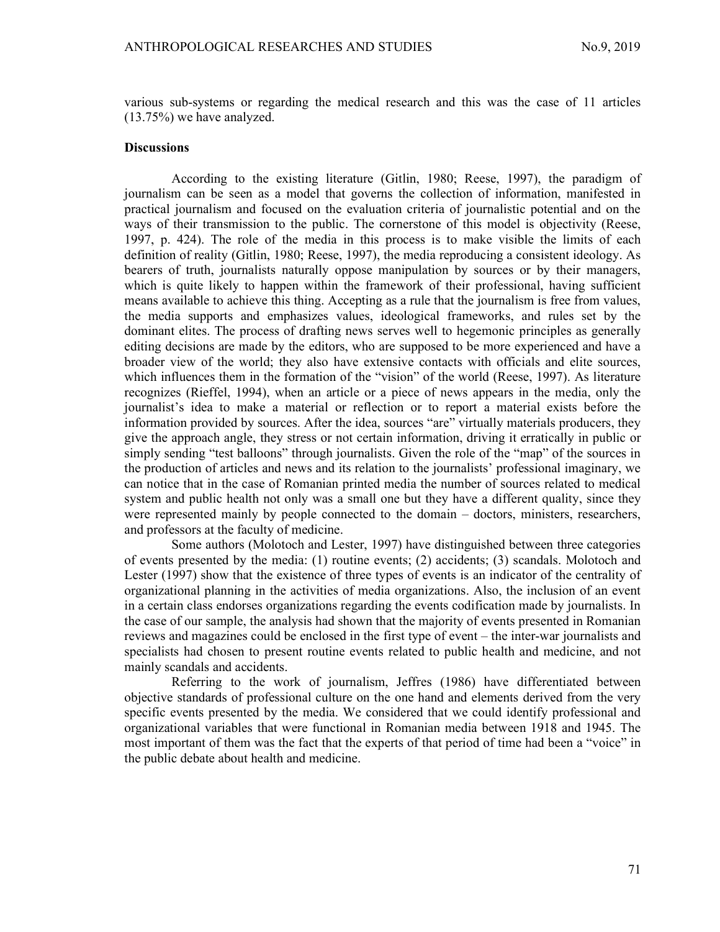various sub-systems or regarding the medical research and this was the case of 11 articles (13.75%) we have analyzed.

#### **Discussions**

According to the existing literature (Gitlin, 1980; Reese, 1997), the paradigm of journalism can be seen as a model that governs the collection of information, manifested in practical journalism and focused on the evaluation criteria of journalistic potential and on the ways of their transmission to the public. The cornerstone of this model is objectivity (Reese, 1997, p. 424). The role of the media in this process is to make visible the limits of each definition of reality (Gitlin, 1980; Reese, 1997), the media reproducing a consistent ideology. As bearers of truth, journalists naturally oppose manipulation by sources or by their managers, which is quite likely to happen within the framework of their professional, having sufficient means available to achieve this thing. Accepting as a rule that the journalism is free from values, the media supports and emphasizes values, ideological frameworks, and rules set by the dominant elites. The process of drafting news serves well to hegemonic principles as generally editing decisions are made by the editors, who are supposed to be more experienced and have a broader view of the world; they also have extensive contacts with officials and elite sources, which influences them in the formation of the "vision" of the world (Reese, 1997). As literature recognizes (Rieffel, 1994), when an article or a piece of news appears in the media, only the journalist's idea to make a material or reflection or to report a material exists before the information provided by sources. After the idea, sources "are" virtually materials producers, they give the approach angle, they stress or not certain information, driving it erratically in public or simply sending "test balloons" through journalists. Given the role of the "map" of the sources in the production of articles and news and its relation to the journalists' professional imaginary, we can notice that in the case of Romanian printed media the number of sources related to medical system and public health not only was a small one but they have a different quality, since they were represented mainly by people connected to the domain – doctors, ministers, researchers, and professors at the faculty of medicine.

Some authors (Molotoch and Lester, 1997) have distinguished between three categories of events presented by the media: (1) routine events; (2) accidents; (3) scandals. Molotoch and Lester (1997) show that the existence of three types of events is an indicator of the centrality of organizational planning in the activities of media organizations. Also, the inclusion of an event in a certain class endorses organizations regarding the events codification made by journalists. In the case of our sample, the analysis had shown that the majority of events presented in Romanian reviews and magazines could be enclosed in the first type of event – the inter-war journalists and specialists had chosen to present routine events related to public health and medicine, and not mainly scandals and accidents.

Referring to the work of journalism, Jeffres (1986) have differentiated between objective standards of professional culture on the one hand and elements derived from the very specific events presented by the media. We considered that we could identify professional and organizational variables that were functional in Romanian media between 1918 and 1945. The most important of them was the fact that the experts of that period of time had been a "voice" in the public debate about health and medicine.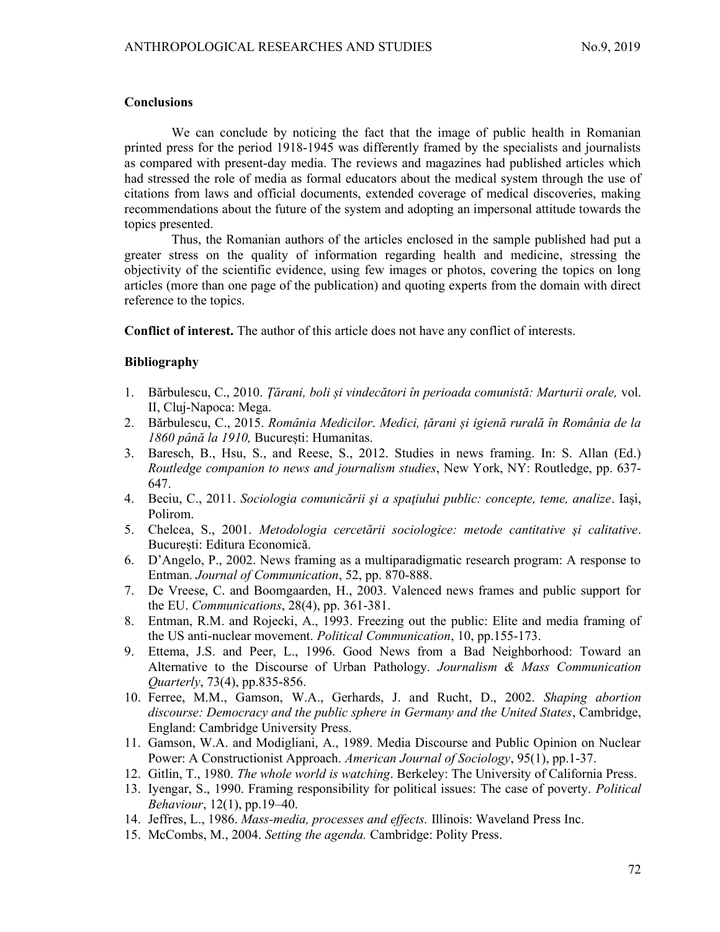## **Conclusions**

We can conclude by noticing the fact that the image of public health in Romanian printed press for the period 1918-1945 was differently framed by the specialists and journalists as compared with present-day media. The reviews and magazines had published articles which had stressed the role of media as formal educators about the medical system through the use of citations from laws and official documents, extended coverage of medical discoveries, making recommendations about the future of the system and adopting an impersonal attitude towards the topics presented.

Thus, the Romanian authors of the articles enclosed in the sample published had put a greater stress on the quality of information regarding health and medicine, stressing the objectivity of the scientific evidence, using few images or photos, covering the topics on long articles (more than one page of the publication) and quoting experts from the domain with direct reference to the topics.

Conflict of interest. The author of this article does not have any conflict of interests.

# Bibliography

- 1. Bărbulescu, C., 2010. Ţărani, boli și vindecători în perioada comunistă: Marturii orale, vol. II, Cluj-Napoca: Mega.
- 2. Bărbulescu, C., 2015. România Medicilor. Medici, țărani și igienă rurală în România de la 1860 până la 1910, București: Humanitas.
- 3. Baresch, B., Hsu, S., and Reese, S., 2012. Studies in news framing. In: S. Allan (Ed.) Routledge companion to news and journalism studies, New York, NY: Routledge, pp. 637- 647.
- 4. Beciu, C., 2011. Sociologia comunicării și a spațiului public: concepte, teme, analize. Iași, Polirom.
- 5. Chelcea, S., 2001. Metodologia cercetării sociologice: metode cantitative şi calitative. București: Editura Economică.
- 6. D'Angelo, P., 2002. News framing as a multiparadigmatic research program: A response to Entman. Journal of Communication, 52, pp. 870-888.
- 7. De Vreese, C. and Boomgaarden, H., 2003. Valenced news frames and public support for the EU. Communications, 28(4), pp. 361-381.
- 8. Entman, R.M. and Rojecki, A., 1993. Freezing out the public: Elite and media framing of the US anti-nuclear movement. Political Communication, 10, pp.155-173.
- 9. Ettema, J.S. and Peer, L., 1996. Good News from a Bad Neighborhood: Toward an Alternative to the Discourse of Urban Pathology. Journalism & Mass Communication Quarterly, 73(4), pp.835-856.
- 10. Ferree, M.M., Gamson, W.A., Gerhards, J. and Rucht, D., 2002. Shaping abortion discourse: Democracy and the public sphere in Germany and the United States, Cambridge, England: Cambridge University Press.
- 11. Gamson, W.A. and Modigliani, A., 1989. Media Discourse and Public Opinion on Nuclear Power: A Constructionist Approach. American Journal of Sociology, 95(1), pp.1-37.
- 12. Gitlin, T., 1980. The whole world is watching. Berkeley: The University of California Press.
- 13. Iyengar, S., 1990. Framing responsibility for political issues: The case of poverty. Political Behaviour, 12(1), pp.19–40.
- 14. Jeffres, L., 1986. Mass-media, processes and effects. Illinois: Waveland Press Inc.
- 15. McCombs, M., 2004. Setting the agenda. Cambridge: Polity Press.